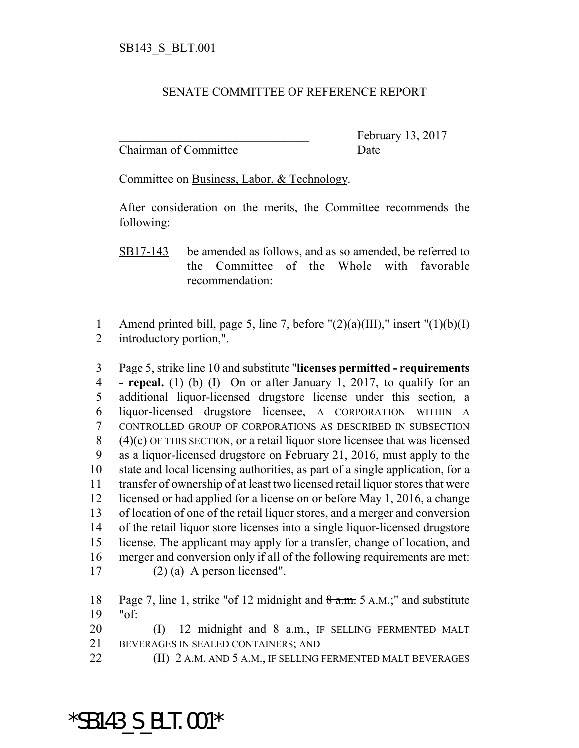## SENATE COMMITTEE OF REFERENCE REPORT

Chairman of Committee Date

February 13, 2017

Committee on Business, Labor, & Technology.

After consideration on the merits, the Committee recommends the following:

1 Amend printed bill, page 5, line 7, before  $"(2)(a)(III)$ ," insert  $"(1)(b)(I)$ introductory portion,".

 Page 5, strike line 10 and substitute "**licenses permitted - requirements - repeal.** (1) (b) (I) On or after January 1, 2017, to qualify for an additional liquor-licensed drugstore license under this section, a liquor-licensed drugstore licensee, A CORPORATION WITHIN A CONTROLLED GROUP OF CORPORATIONS AS DESCRIBED IN SUBSECTION (4)(c) OF THIS SECTION, or a retail liquor store licensee that was licensed as a liquor-licensed drugstore on February 21, 2016, must apply to the state and local licensing authorities, as part of a single application, for a transfer of ownership of at least two licensed retail liquor stores that were licensed or had applied for a license on or before May 1, 2016, a change of location of one of the retail liquor stores, and a merger and conversion of the retail liquor store licenses into a single liquor-licensed drugstore license. The applicant may apply for a transfer, change of location, and merger and conversion only if all of the following requirements are met: (2) (a) A person licensed".

18 Page 7, line 1, strike "of 12 midnight and a.m. 5 A.M.;" and substitute "of:

20 (I) 12 midnight and 8 a.m., IF SELLING FERMENTED MALT BEVERAGES IN SEALED CONTAINERS; AND

**(II) 2 A.M. AND 5 A.M., IF SELLING FERMENTED MALT BEVERAGES** 

## \*SB143\_S\_BLT.001\*

SB17-143 be amended as follows, and as so amended, be referred to the Committee of the Whole with favorable recommendation: